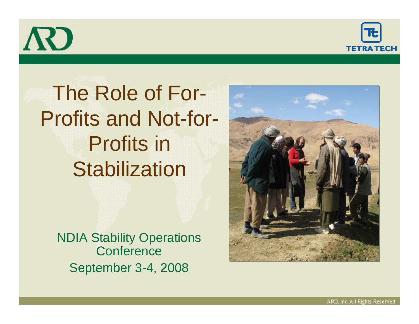



## The Role of For-Profits and Not-for-Profits in **Stabilization**

NDIA Stability Operations **Conference** September 3-4, 2008

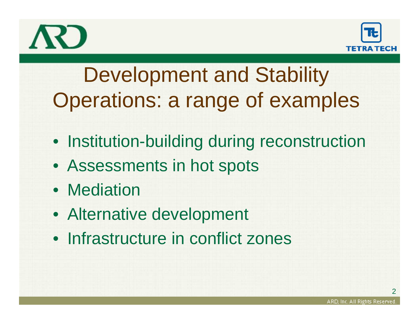



## Development and Stability Operations: a range of examples

- Institution-building during reconstruction
- Assessments in hot spots
- Mediation
- Alternative development
- Infrastructure in conflict zones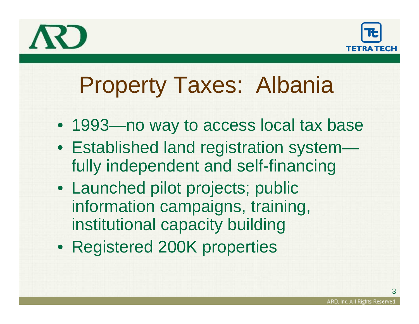



# Property Taxes: Albania

- 1993—no way to access local tax base
- Established land registration system fully independent and self-financing
- Launched pilot projects; public information campaigns, training, institutional capacity building
- Registered 200K properties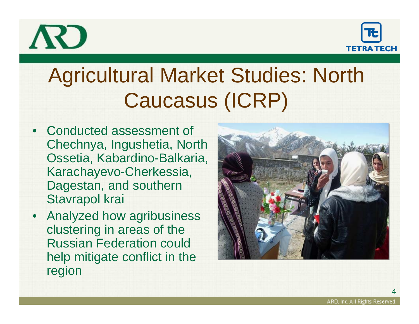



# Agricultural Market Studies: North Caucasus (ICRP)

- Conducted assessment of Chechnya, Ingushetia, North Ossetia, Kabardino-Balkaria, Karachayevo-Cherkessia, Dagestan, and southern Stavrapol krai
- Analyzed how agribusiness clustering in areas of the Russian Federation could help mitigate conflict in the region

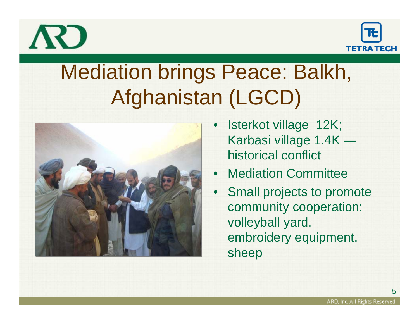



## Mediation brings Peace: Balkh, Afghanistan (LGCD)



- • Isterkot village 12K; Karbasi village 1.4K historical conflict
- Mediation Committee
- • Small projects to promote community cooperation: volleyball yard, embroidery equipment, sheep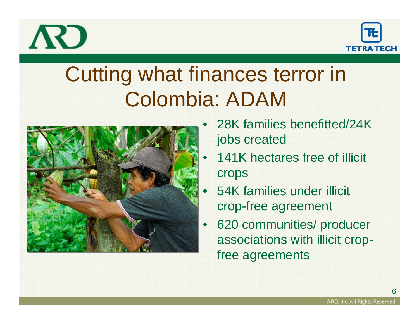



### Cutting what finances terror in Colombia: ADAM



- • 28K families benefitted/24K jobs created
- •141K hectares free of illicit crops
	- 54K families under illicit crop-free agreement
- • 620 communities/ producer associations with illicit cropfree agreements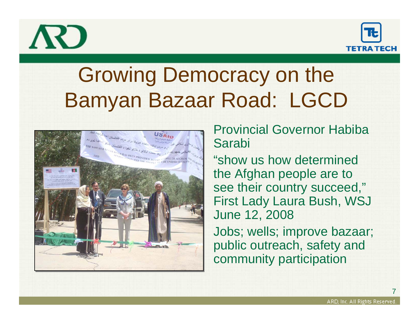



### Growing Democracy on the Bamyan Bazaar Road: LGCD



#### Provincial Governor Habiba Sarabi

"show us how determined the Afghan people are to see their country succeed," First Lady Laura Bush, WSJ June 12, 2008

Jobs; wells; improve bazaar; public outreach, safety and community participation